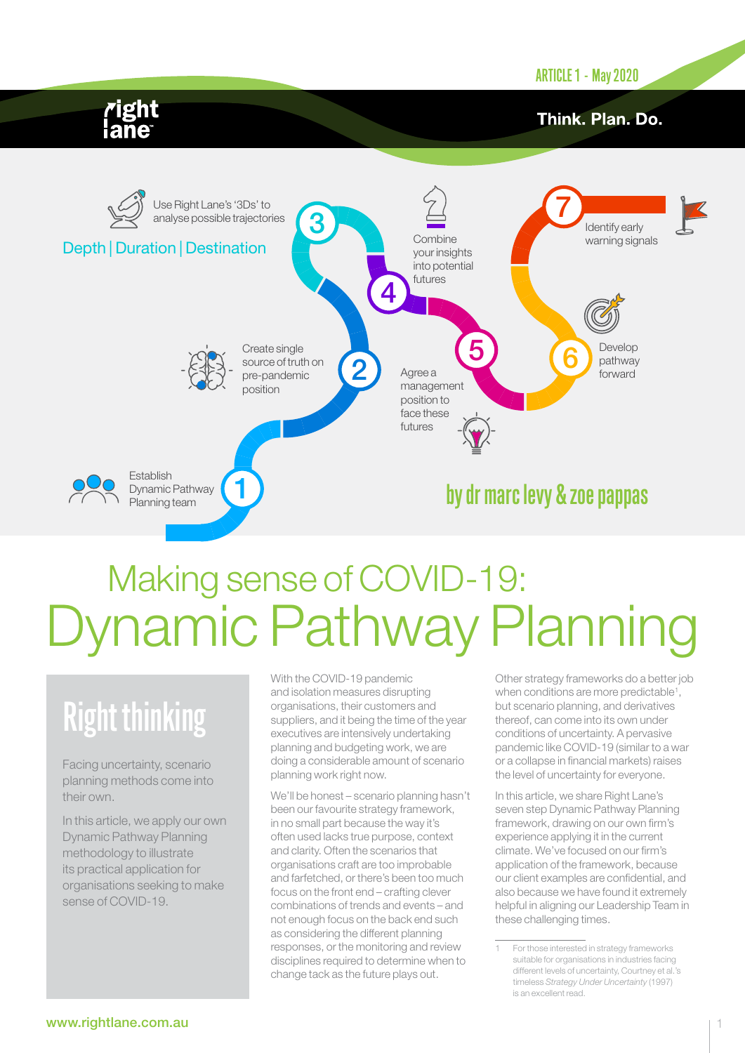ARTICLE 1 - May 2020

## Think. Plan. Do.



# Dynamic Pathway Planning Making sense of COVID-19:

# Right thinking

Facing uncertainty, scenario planning methods come into their own.

In this article, we apply our own Dynamic Pathway Planning methodology to illustrate its practical application for organisations seeking to make sense of COVID-19.

With the COVID-19 pandemic and isolation measures disrupting organisations, their customers and suppliers, and it being the time of the year executives are intensively undertaking planning and budgeting work, we are doing a considerable amount of scenario planning work right now.

We'll be honest – scenario planning hasn't been our favourite strategy framework, in no small part because the way it's often used lacks true purpose, context and clarity. Often the scenarios that organisations craft are too improbable and farfetched, or there's been too much focus on the front end – crafting clever combinations of trends and events – and not enough focus on the back end such as considering the different planning responses, or the monitoring and review disciplines required to determine when to change tack as the future plays out.

Other strategy frameworks do a better job when conditions are more predictable<sup>1</sup>, but scenario planning, and derivatives thereof, can come into its own under conditions of uncertainty. A pervasive pandemic like COVID-19 (similar to a war or a collapse in financial markets) raises the level of uncertainty for everyone.

In this article, we share Right Lane's seven step Dynamic Pathway Planning framework, drawing on our own firm's experience applying it in the current climate. We've focused on our firm's application of the framework, because our client examples are confidential, and also because we have found it extremely helpful in aligning our Leadership Team in these challenging times.

For those interested in strategy frameworks suitable for organisations in industries facing different levels of uncertainty, Courtney et al.'s timeless *Strategy Under Uncertainty* (1997) is an excellent read.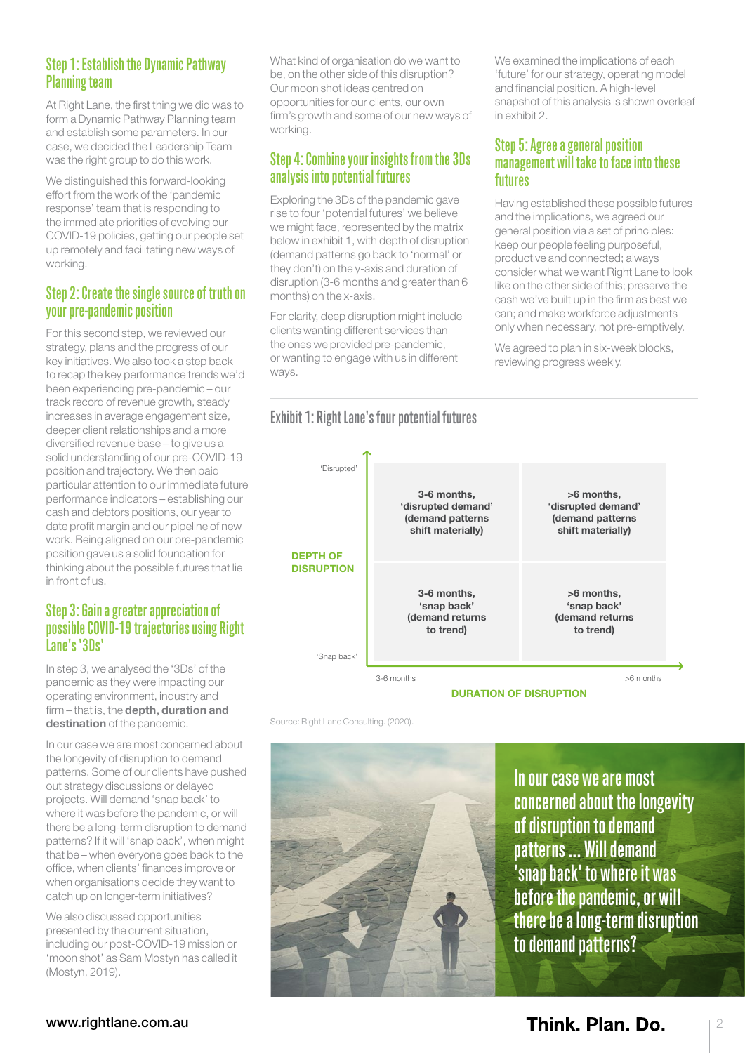### Step 1: Establish the Dynamic Pathway Planning team

At Right Lane, the first thing we did was to form a Dynamic Pathway Planning team and establish some parameters. In our case, we decided the Leadership Team was the right group to do this work.

We distinguished this forward-looking effort from the work of the 'pandemic response' team that is responding to the immediate priorities of evolving our COVID-19 policies, getting our people set up remotely and facilitating new ways of working.

#### Step 2: Create the single source of truth on your pre-pandemic position

For this second step, we reviewed our strategy, plans and the progress of our key initiatives. We also took a step back to recap the key performance trends we'd been experiencing pre-pandemic – our track record of revenue growth, steady increases in average engagement size, deeper client relationships and a more diversified revenue base – to give us a solid understanding of our pre-COVID-19 position and trajectory. We then paid particular attention to our immediate future performance indicators – establishing our cash and debtors positions, our year to date profit margin and our pipeline of new work. Being aligned on our pre-pandemic position gave us a solid foundation for thinking about the possible futures that lie in front of us.

#### Step 3: Gain a greater appreciation of possible COVID-19 trajectories using Right Lane's '3Ds'

In step 3, we analysed the '3Ds' of the pandemic as they were impacting our operating environment, industry and firm – that is, the depth, duration and destination of the pandemic.

In our case we are most concerned about the longevity of disruption to demand patterns. Some of our clients have pushed out strategy discussions or delayed projects. Will demand 'snap back' to where it was before the pandemic, or will there be a long-term disruption to demand patterns? If it will 'snap back', when might that be – when everyone goes back to the office, when clients' finances improve or when organisations decide they want to catch up on longer-term initiatives?

We also discussed opportunities presented by the current situation, including our post-COVID-19 mission or 'moon shot' as Sam Mostyn has called it (Mostyn, 2019).

What kind of organisation do we want to be, on the other side of this disruption? Our moon shot ideas centred on opportunities for our clients, our own firm's growth and some of our new ways of working.

### Step 4: Combine your insights from the 3Ds analysis into potential futures

Exploring the 3Ds of the pandemic gave rise to four 'potential futures' we believe we might face, represented by the matrix below in exhibit 1, with depth of disruption (demand patterns go back to 'normal' or they don't) on the y-axis and duration of disruption (3-6 months and greater than 6 months) on the x-axis.

For clarity, deep disruption might include clients wanting different services than the ones we provided pre-pandemic, or wanting to engage with us in different ways.

Exhibit 1: Right Lane's four potential futures

We examined the implications of each 'future' for our strategy, operating model and financial position. A high-level snapshot of this analysis is shown overleaf in exhibit 2.

#### Step 5: Agree a general position management will take to face into these futures

Having established these possible futures and the implications, we agreed our general position via a set of principles: keep our people feeling purposeful, productive and connected; always consider what we want Right Lane to look like on the other side of this; preserve the cash we've built up in the firm as best we can; and make workforce adjustments only when necessary, not pre-emptively.

We agreed to plan in six-week blocks, reviewing progress weekly.



DURATION OF DISRUPTION

Source: Right Lane Consulting. (2020). Source: Right Lane Consulting. (2020).



In our case we are most concerned about the longevity of disruption to demand patterns ... Will demand 'snap back' to where it was before the pandemic, or will there be a long-term disruption to demand patterns?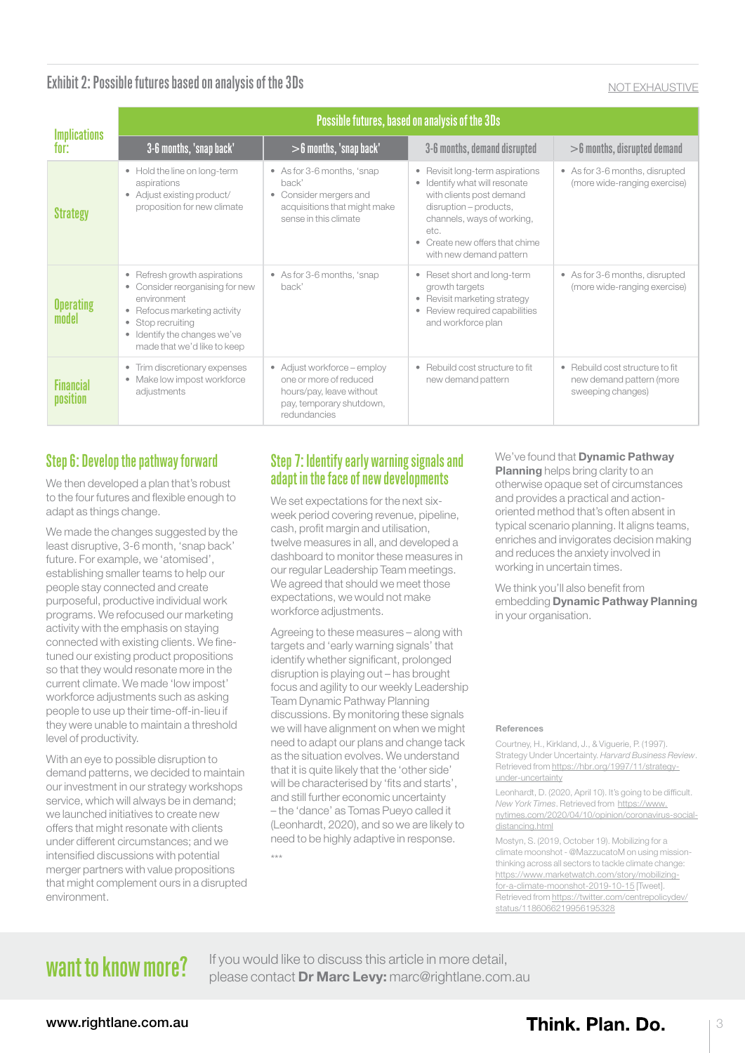## Exhibit 2: Possible futures based on analysis of the 3Ds NOT EXHAUSTIVE AND TRIMAGE ON A RESERVENCE AND TRIMAGE ON A

| <b>Implications</b><br>tor:  | Possible futures, based on analysis of the 3Ds                                                                                                                                                   |                                                                                                                               |                                                                                                                                                                                                                                                            |                                                                                  |
|------------------------------|--------------------------------------------------------------------------------------------------------------------------------------------------------------------------------------------------|-------------------------------------------------------------------------------------------------------------------------------|------------------------------------------------------------------------------------------------------------------------------------------------------------------------------------------------------------------------------------------------------------|----------------------------------------------------------------------------------|
|                              | 3-6 months, 'snap back'                                                                                                                                                                          | $>$ 6 months, 'snap back'                                                                                                     | 3-6 months, demand disrupted                                                                                                                                                                                                                               | $>$ 6 months, disrupted demand                                                   |
| <b>Strategy</b>              | • Hold the line on long-term<br>aspirations<br>• Adjust existing product/<br>proposition for new climate                                                                                         | • As for 3-6 months, 'snap<br>back'<br>• Consider mergers and<br>acquisitions that might make<br>sense in this climate        | Revisit long-term aspirations<br>$\bullet$<br>Identify what will resonate<br>$\bullet$<br>with clients post demand<br>disruption - products,<br>channels, ways of working,<br>etc.<br>Create new offers that chime<br>$\bullet$<br>with new demand pattern | • As for 3-6 months, disrupted<br>(more wide-ranging exercise)                   |
| <b>Operating</b><br>model    | • Refresh growth aspirations<br>• Consider reorganising for new<br>environment<br>• Refocus marketing activity<br>Stop recruiting<br>• Identify the changes we've<br>made that we'd like to keep | • As for 3-6 months, 'snap<br>back'                                                                                           | Reset short and long-term<br>٠<br>growth targets<br>• Revisit marketing strategy<br>Review required capabilities<br>$\bullet$<br>and workforce plan                                                                                                        | • As for 3-6 months, disrupted<br>(more wide-ranging exercise)                   |
| <b>Financial</b><br>position | Trim discretionary expenses<br>$\bullet$<br>• Make low impost workforce<br>adjustments                                                                                                           | • Adjust workforce - employ<br>one or more of reduced<br>hours/pay, leave without<br>pay, temporary shutdown,<br>redundancies | • Rebuild cost structure to fit<br>new demand pattern                                                                                                                                                                                                      | • Rebuild cost structure to fit<br>new demand pattern (more<br>sweeping changes) |

### Step 6: Develop the pathway forward

We then developed a plan that's robust to the four futures and flexible enough to adapt as things change.

We made the changes suggested by the least disruptive, 3-6 month, 'snap back' future. For example, we 'atomised', establishing smaller teams to help our people stay connected and create purposeful, productive individual work programs. We refocused our marketing activity with the emphasis on staying connected with existing clients. We finetuned our existing product propositions so that they would resonate more in the current climate. We made 'low impost' workforce adjustments such as asking people to use up their time-off-in-lieu if they were unable to maintain a threshold level of productivity.

With an eye to possible disruption to demand patterns, we decided to maintain our investment in our strategy workshops service, which will always be in demand; we launched initiatives to create new offers that might resonate with clients under different circumstances; and we intensified discussions with potential merger partners with value propositions that might complement ours in a disrupted environment.

#### Step 7: Identify early warning signals and adapt in the face of new developments

We set expectations for the next sixweek period covering revenue, pipeline, cash, profit margin and utilisation, twelve measures in all, and developed a dashboard to monitor these measures in our regular Leadership Team meetings. We agreed that should we meet those expectations, we would not make workforce adjustments.

Agreeing to these measures – along with targets and 'early warning signals' that identify whether significant, prolonged disruption is playing out – has brought focus and agility to our weekly Leadership Team Dynamic Pathway Planning discussions. By monitoring these signals we will have alignment on when we might need to adapt our plans and change tack as the situation evolves. We understand that it is quite likely that the 'other side' will be characterised by 'fits and starts', and still further economic uncertainty – the 'dance' as Tomas Pueyo called it (Leonhardt, 2020), and so we are likely to need to be highly adaptive in response. \*\*\*

#### We've found that **Dynamic Pathway Planning** helps bring clarity to an otherwise opaque set of circumstances and provides a practical and actionoriented method that's often absent in typical scenario planning. It aligns teams, enriches and invigorates decision making and reduces the anxiety involved in working in uncertain times.

We think you'll also benefit from embedding Dynamic Pathway Planning in your organisation.

#### References

Courtney, H., Kirkland, J., & Viguerie, P. (1997). Strategy Under Uncertainty. *Harvard Business Review*. Retrieved from [https://hbr.org/1997/11/strategy](https://hbr.org/1997/11/strategy-under-uncertainty)[under-uncertainty](https://hbr.org/1997/11/strategy-under-uncertainty)

Leonhardt, D. (2020, April 10). It's going to be difficult. *New York Times*. Retrieved from [https://www.](https://www.nytimes.com/2020/04/10/opinion/coronavirus-social-distancing.html) [nytimes.com/2020/04/10/opinion/coronavirus-social](https://www.nytimes.com/2020/04/10/opinion/coronavirus-social-distancing.html)[distancing.html](https://www.nytimes.com/2020/04/10/opinion/coronavirus-social-distancing.html)

Mostyn, S. (2019, October 19). Mobilizing for a climate moonshot - @MazzucatoM on using missionthinking across all sectors to tackle climate change: [https://www.marketwatch.com/story/mobilizing](https://www.marketwatch.com/story/mobilizing-for-a-climate-moonshot-2019-10-15)[for-a-climate-moonshot-2019-10-15](https://www.marketwatch.com/story/mobilizing-for-a-climate-moonshot-2019-10-15) [Tweet]. Retrieved from [https://twitter.com/centrepolicydev/](https://twitter.com/centrepolicydev/status/1186066219956195328) [status/1186066219956195328](https://twitter.com/centrepolicydev/status/1186066219956195328)

want to know more? If you would like to discuss this article in more detail, please contact [Dr Marc Levy:](mailto:marc%40rightlane.com.au?subject=) [marc@rightlane.com.au](mailto:marc%40rightlane.com.au?subject=)